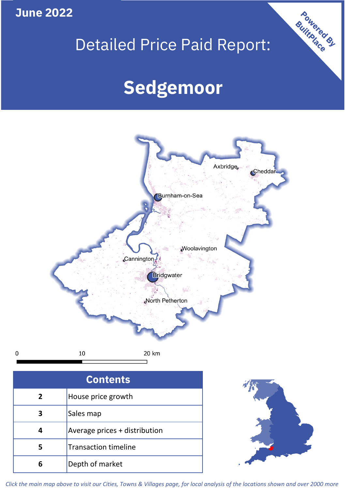**June 2022**

 $\mathbf 0$ 

# Detailed Price Paid Report:

# **Sedgemoor**



| <b>Contents</b> |                               |  |  |
|-----------------|-------------------------------|--|--|
| $\overline{2}$  | House price growth            |  |  |
| 3               | Sales map                     |  |  |
|                 | Average prices + distribution |  |  |
| 5               | <b>Transaction timeline</b>   |  |  |
|                 | Depth of market               |  |  |



Powered By

*Click the main map above to visit our Cities, Towns & Villages page, for local analysis of the locations shown and over 2000 more*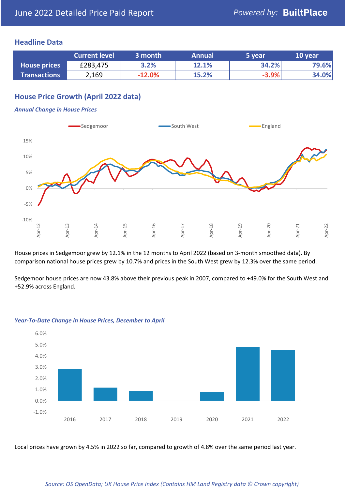## **Headline Data**

|                     | <b>Current level</b> | 3 month  | <b>Annual</b> | 5 year  | 10 year |
|---------------------|----------------------|----------|---------------|---------|---------|
| <b>House prices</b> | £283,475             | 3.2%     | 12.1%         | 34.2%   | 79.6%   |
| <b>Transactions</b> | 2,169                | $-12.0%$ | 15.2%         | $-3.9%$ | 34.0%   |

# **House Price Growth (April 2022 data)**

#### *Annual Change in House Prices*



House prices in Sedgemoor grew by 12.1% in the 12 months to April 2022 (based on 3-month smoothed data). By comparison national house prices grew by 10.7% and prices in the South West grew by 12.3% over the same period.

Sedgemoor house prices are now 43.8% above their previous peak in 2007, compared to +49.0% for the South West and +52.9% across England.



#### *Year-To-Date Change in House Prices, December to April*

Local prices have grown by 4.5% in 2022 so far, compared to growth of 4.8% over the same period last year.

#### *Source: OS OpenData; UK House Price Index (Contains HM Land Registry data © Crown copyright)*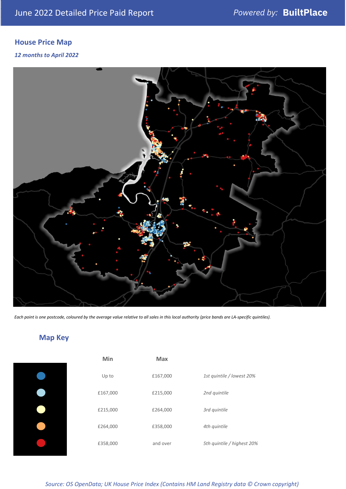# **House Price Map**

#### *12 months to April 2022*



*Each point is one postcode, coloured by the average value relative to all sales in this local authority (price bands are LA-specific quintiles).*

# **Map Key**

| Min      |
|----------|
| Up to    |
| £167,000 |
| £215,000 |
| £264,000 |
| £358,000 |
|          |

| Min      | Max      |                            |
|----------|----------|----------------------------|
| Up to    | £167,000 | 1st quintile / lowest 20%  |
| £167,000 | £215,000 | 2nd quintile               |
| £215,000 | £264,000 | 3rd quintile               |
| £264,000 | £358,000 | 4th quintile               |
| £358,000 | and over | 5th quintile / highest 20% |

# *Source: OS OpenData; UK House Price Index (Contains HM Land Registry data © Crown copyright)*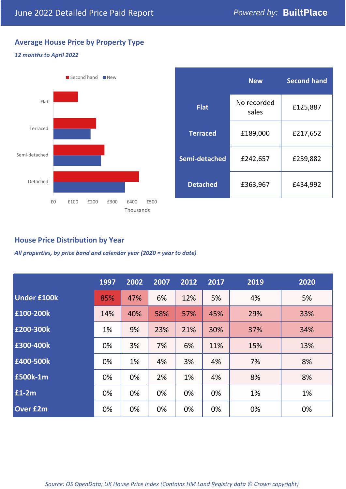# **Average House Price by Property Type**

#### *12 months to April 2022*



|                 | <b>New</b>           | <b>Second hand</b> |  |  |
|-----------------|----------------------|--------------------|--|--|
| <b>Flat</b>     | No recorded<br>sales | £125,887           |  |  |
| <b>Terraced</b> | £189,000             | £217,652           |  |  |
| Semi-detached   | £242,657             | £259,882           |  |  |
| <b>Detached</b> | £363,967             | £434,992           |  |  |

# **House Price Distribution by Year**

*All properties, by price band and calendar year (2020 = year to date)*

|                    | 1997 | 2002 | 2007 | 2012 | 2017 | 2019 | 2020 |
|--------------------|------|------|------|------|------|------|------|
| <b>Under £100k</b> | 85%  | 47%  | 6%   | 12%  | 5%   | 4%   | 5%   |
| £100-200k          | 14%  | 40%  | 58%  | 57%  | 45%  | 29%  | 33%  |
| E200-300k          | 1%   | 9%   | 23%  | 21%  | 30%  | 37%  | 34%  |
| £300-400k          | 0%   | 3%   | 7%   | 6%   | 11%  | 15%  | 13%  |
| £400-500k          | 0%   | 1%   | 4%   | 3%   | 4%   | 7%   | 8%   |
| <b>£500k-1m</b>    | 0%   | 0%   | 2%   | 1%   | 4%   | 8%   | 8%   |
| £1-2m              | 0%   | 0%   | 0%   | 0%   | 0%   | 1%   | 1%   |
| <b>Over £2m</b>    | 0%   | 0%   | 0%   | 0%   | 0%   | 0%   | 0%   |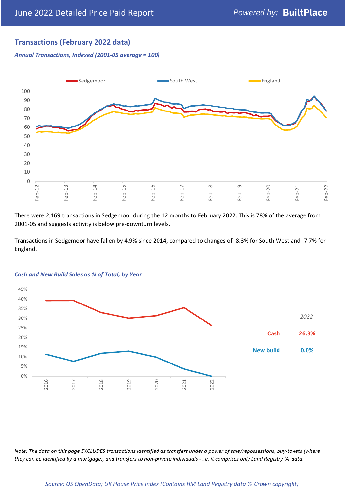# **Transactions (February 2022 data)**

*Annual Transactions, Indexed (2001-05 average = 100)*



There were 2,169 transactions in Sedgemoor during the 12 months to February 2022. This is 78% of the average from 2001-05 and suggests activity is below pre-downturn levels.

Transactions in Sedgemoor have fallen by 4.9% since 2014, compared to changes of -8.3% for South West and -7.7% for England.



#### *Cash and New Build Sales as % of Total, by Year*

*Note: The data on this page EXCLUDES transactions identified as transfers under a power of sale/repossessions, buy-to-lets (where they can be identified by a mortgage), and transfers to non-private individuals - i.e. it comprises only Land Registry 'A' data.*